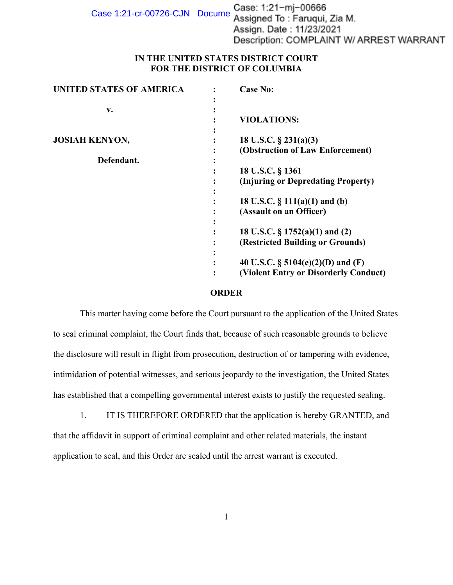Case 1:21-cr-00726-CJN Docume Case: 1:21-mj-00666<br>Assigned To: Faruqui, Zia M. Assign. Date: 11/23/2021 Description: COMPLAINT W/ ARREST WARRANT

## **IN THE UNITED STATES DISTRICT COURT FOR THE DISTRICT OF COLUMBIA**

| <b>UNITED STATES OF AMERICA</b> | <b>Case No:</b>                       |
|---------------------------------|---------------------------------------|
| v.                              |                                       |
|                                 | <b>VIOLATIONS:</b>                    |
| <b>JOSIAH KENYON,</b>           | 18 U.S.C. $\S$ 231(a)(3)              |
|                                 | (Obstruction of Law Enforcement)      |
| Defendant.                      |                                       |
|                                 | 18 U.S.C. § 1361                      |
|                                 | (Injuring or Depredating Property)    |
|                                 | 18 U.S.C. $\S$ 111(a)(1) and (b)      |
|                                 | (Assault on an Officer)               |
|                                 |                                       |
|                                 | 18 U.S.C. $\S 1752(a)(1)$ and (2)     |
|                                 | (Restricted Building or Grounds)      |
|                                 |                                       |
|                                 | 40 U.S.C. $\S$ 5104(e)(2)(D) and (F)  |
|                                 | (Violent Entry or Disorderly Conduct) |

## **ORDER**

This matter having come before the Court pursuant to the application of the United States to seal criminal complaint, the Court finds that, because of such reasonable grounds to believe the disclosure will result in flight from prosecution, destruction of or tampering with evidence, intimidation of potential witnesses, and serious jeopardy to the investigation, the United States has established that a compelling governmental interest exists to justify the requested sealing.

1. IT IS THEREFORE ORDERED that the application is hereby GRANTED, and that the affidavit in support of criminal complaint and other related materials, the instant application to seal, and this Order are sealed until the arrest warrant is executed.